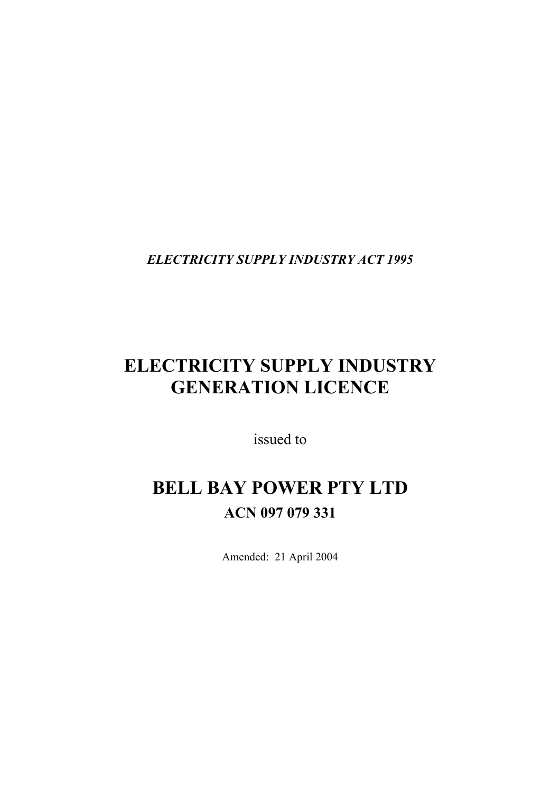*ELECTRICITY SUPPLY INDUSTRY ACT 1995* 

# **ELECTRICITY SUPPLY INDUSTRY GENERATION LICENCE**

issued to

# **BELL BAY POWER PTY LTD ACN 097 079 331**

Amended: 21 April 2004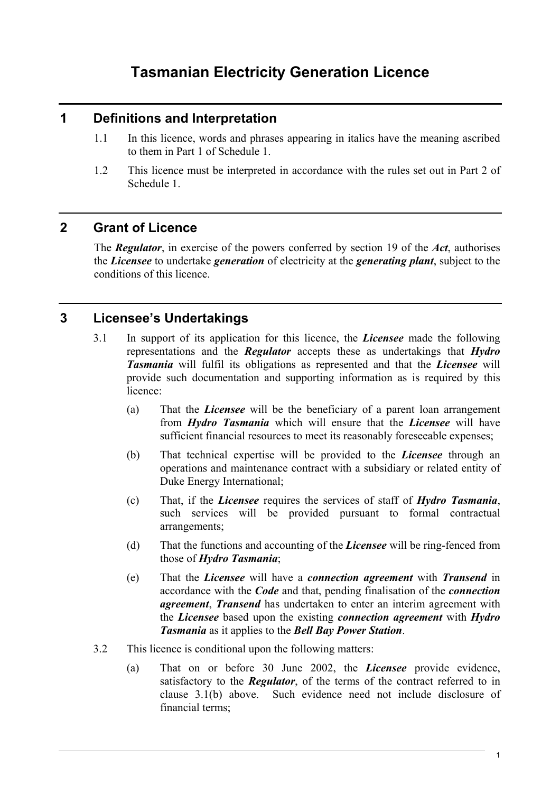# **Tasmanian Electricity Generation Licence**

#### **1 Definitions and Interpretation**

- 1.1 In this licence, words and phrases appearing in italics have the meaning ascribed to them in Part 1 of Schedule 1.
- 1.2 This licence must be interpreted in accordance with the rules set out in Part 2 of Schedule 1.

#### **2 Grant of Licence**

The *Regulator*, in exercise of the powers conferred by section 19 of the *Act*, authorises the *Licensee* to undertake *generation* of electricity at the *generating plant*, subject to the conditions of this licence.

## **3 Licensee's Undertakings**

- 3.1 In support of its application for this licence, the *Licensee* made the following representations and the *Regulator* accepts these as undertakings that *Hydro Tasmania* will fulfil its obligations as represented and that the *Licensee* will provide such documentation and supporting information as is required by this licence:
	- (a) That the *Licensee* will be the beneficiary of a parent loan arrangement from *Hydro Tasmania* which will ensure that the *Licensee* will have sufficient financial resources to meet its reasonably foreseeable expenses;
	- (b) That technical expertise will be provided to the *Licensee* through an operations and maintenance contract with a subsidiary or related entity of Duke Energy International;
	- (c) That, if the *Licensee* requires the services of staff of *Hydro Tasmania*, such services will be provided pursuant to formal contractual arrangements;
	- (d) That the functions and accounting of the *Licensee* will be ring-fenced from those of *Hydro Tasmania*;
	- (e) That the *Licensee* will have a *connection agreement* with *Transend* in accordance with the *Code* and that, pending finalisation of the *connection agreement*, *Transend* has undertaken to enter an interim agreement with the *Licensee* based upon the existing *connection agreement* with *Hydro Tasmania* as it applies to the *Bell Bay Power Station*.
- 3.2 This licence is conditional upon the following matters:
	- (a) That on or before 30 June 2002, the *Licensee* provide evidence, satisfactory to the *Regulator*, of the terms of the contract referred to in clause 3.1(b) above. Such evidence need not include disclosure of financial terms;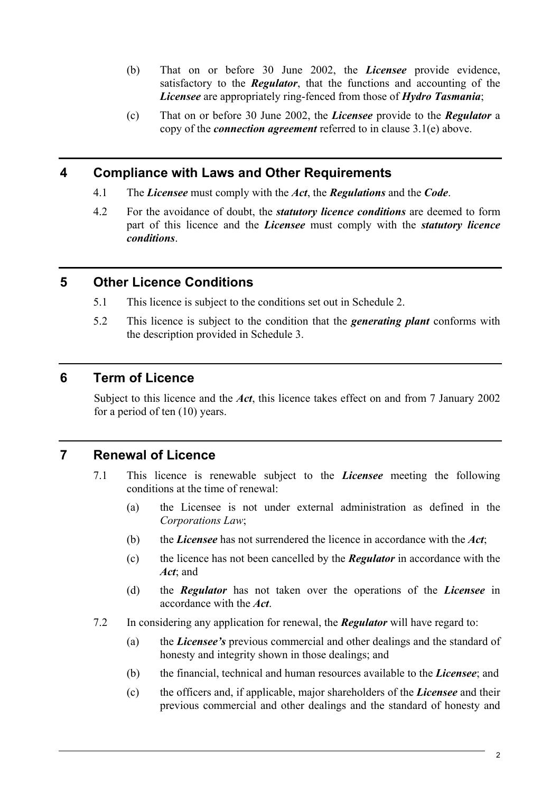- (b) That on or before 30 June 2002, the *Licensee* provide evidence, satisfactory to the *Regulator*, that the functions and accounting of the *Licensee* are appropriately ring-fenced from those of *Hydro Tasmania*;
- (c) That on or before 30 June 2002, the *Licensee* provide to the *Regulator* a copy of the *connection agreement* referred to in clause 3.1(e) above.

#### **4 Compliance with Laws and Other Requirements**

- 4.1 The *Licensee* must comply with the *Act*, the *Regulations* and the *Code*.
- 4.2 For the avoidance of doubt, the *statutory licence conditions* are deemed to form part of this licence and the *Licensee* must comply with the *statutory licence conditions*.

## **5 Other Licence Conditions**

- 5.1 This licence is subject to the conditions set out in Schedule 2.
- 5.2 This licence is subject to the condition that the *generating plant* conforms with the description provided in Schedule 3.

#### **6 Term of Licence**

Subject to this licence and the *Act*, this licence takes effect on and from 7 January 2002 for a period of ten (10) years.

## **7 Renewal of Licence**

- 7.1 This licence is renewable subject to the *Licensee* meeting the following conditions at the time of renewal:
	- (a) the Licensee is not under external administration as defined in the *Corporations Law*;
	- (b) the *Licensee* has not surrendered the licence in accordance with the *Act*;
	- (c) the licence has not been cancelled by the *Regulator* in accordance with the *Act*; and
	- (d) the *Regulator* has not taken over the operations of the *Licensee* in accordance with the *Act*.
- 7.2 In considering any application for renewal, the *Regulator* will have regard to:
	- (a) the *Licensee's* previous commercial and other dealings and the standard of honesty and integrity shown in those dealings; and
	- (b) the financial, technical and human resources available to the *Licensee*; and
	- (c) the officers and, if applicable, major shareholders of the *Licensee* and their previous commercial and other dealings and the standard of honesty and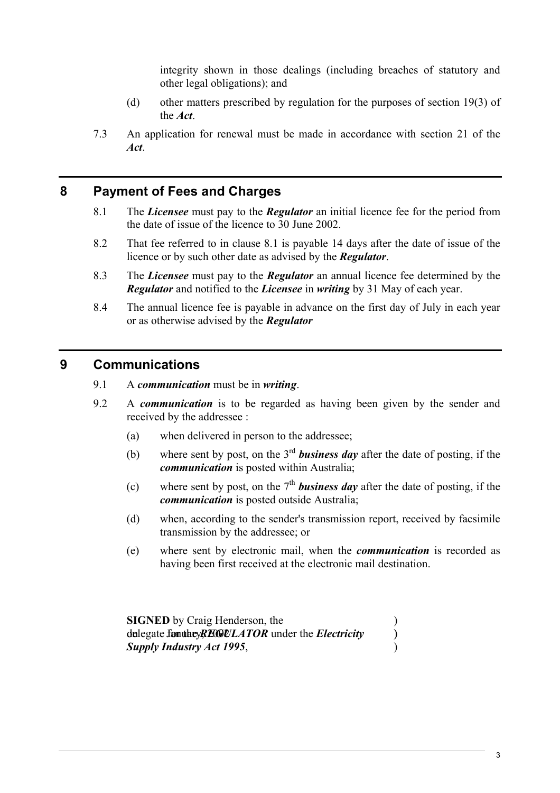integrity shown in those dealings (including breaches of statutory and other legal obligations); and

- (d) other matters prescribed by regulation for the purposes of section 19(3) of the *Act*.
- 7.3 An application for renewal must be made in accordance with section 21 of the *Act*.

## **8 Payment of Fees and Charges**

- 8.1 The *Licensee* must pay to the *Regulator* an initial licence fee for the period from the date of issue of the licence to 30 June 2002.
- 8.2 That fee referred to in clause 8.1 is payable 14 days after the date of issue of the licence or by such other date as advised by the *Regulator*.
- 8.3 The *Licensee* must pay to the *Regulator* an annual licence fee determined by the *Regulator* and notified to the *Licensee* in *writing* by 31 May of each year.
- 8.4 The annual licence fee is payable in advance on the first day of July in each year or as otherwise advised by the *Regulator*

## **9 Communications**

- 9.1 A *communication* must be in *writing*.
- 9.2 A *communication* is to be regarded as having been given by the sender and received by the addressee :
	- (a) when delivered in person to the addressee;
	- (b) where sent by post, on the 3rd *business day* after the date of posting, if the *communication* is posted within Australia;
	- (c) where sent by post, on the  $7<sup>th</sup>$  **business day** after the date of posting, if the *communication* is posted outside Australia;
	- (d) when, according to the sender's transmission report, received by facsimile transmission by the addressee; or
	- (e) where sent by electronic mail, when the *communication* is recorded as having been first received at the electronic mail destination.

**SIGNED** by Craig Henderson, the delegate **for the** *REGULATOR* under the *Electricity* (b) **Supply Industry Act 1995,**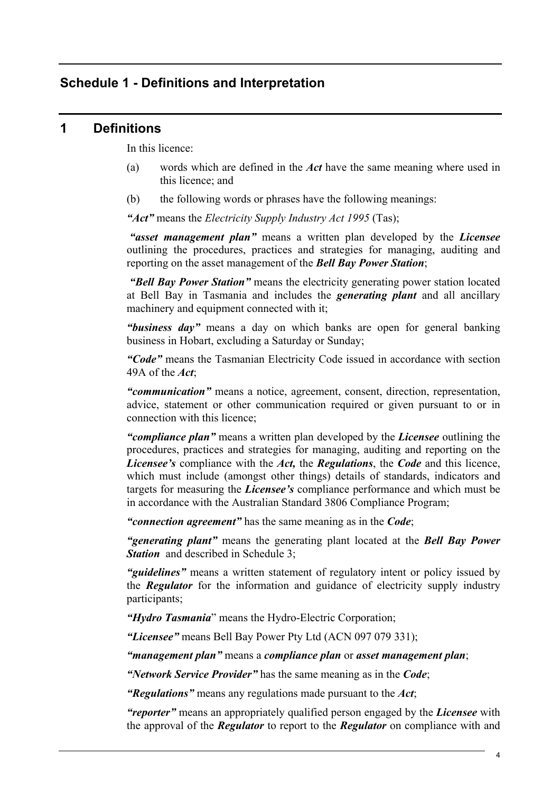## **Schedule 1 - Definitions and Interpretation**

#### **1 Definitions**

In this licence:

- (a) words which are defined in the *Act* have the same meaning where used in this licence; and
- (b) the following words or phrases have the following meanings:

*"Act"* means the *Electricity Supply Industry Act 1995* (Tas);

*"asset management plan"* means a written plan developed by the *Licensee* outlining the procedures, practices and strategies for managing, auditing and reporting on the asset management of the *Bell Bay Power Station*;

*"Bell Bay Power Station"* means the electricity generating power station located at Bell Bay in Tasmania and includes the *generating plant* and all ancillary machinery and equipment connected with it;

*"business day"* means a day on which banks are open for general banking business in Hobart, excluding a Saturday or Sunday;

*"Code"* means the Tasmanian Electricity Code issued in accordance with section 49A of the *Act*;

*"communication"* means a notice, agreement, consent, direction, representation, advice, statement or other communication required or given pursuant to or in connection with this licence;

*"compliance plan"* means a written plan developed by the *Licensee* outlining the procedures, practices and strategies for managing, auditing and reporting on the *Licensee's* compliance with the *Act,* the *Regulations*, the *Code* and this licence, which must include (amongst other things) details of standards, indicators and targets for measuring the *Licensee's* compliance performance and which must be in accordance with the Australian Standard 3806 Compliance Program;

*"connection agreement"* has the same meaning as in the *Code*;

*"generating plant"* means the generating plant located at the *Bell Bay Power*  **Station** and described in Schedule 3:

*"guidelines"* means a written statement of regulatory intent or policy issued by the *Regulator* for the information and guidance of electricity supply industry participants;

*"Hydro Tasmania*" means the Hydro-Electric Corporation;

*"Licensee"* means Bell Bay Power Pty Ltd (ACN 097 079 331);

*"management plan"* means a *compliance plan* or *asset management plan*;

*"Network Service Provider"* has the same meaning as in the *Code*;

*"Regulations"* means any regulations made pursuant to the *Act*;

*"reporter"* means an appropriately qualified person engaged by the *Licensee* with the approval of the *Regulator* to report to the *Regulator* on compliance with and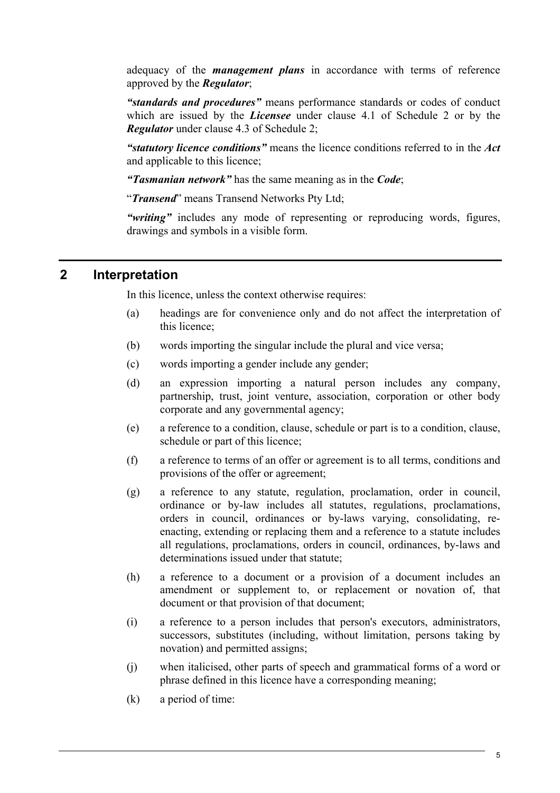adequacy of the *management plans* in accordance with terms of reference approved by the *Regulator*;

*"standards and procedures"* means performance standards or codes of conduct which are issued by the *Licensee* under clause 4.1 of Schedule 2 or by the *Regulator* under clause 4.3 of Schedule 2;

*"statutory licence conditions"* means the licence conditions referred to in the *Act*  and applicable to this licence;

*"Tasmanian network"* has the same meaning as in the *Code*;

"*Transend*" means Transend Networks Pty Ltd;

*"writing"* includes any mode of representing or reproducing words, figures, drawings and symbols in a visible form.

## **2 Interpretation**

In this licence, unless the context otherwise requires:

- (a) headings are for convenience only and do not affect the interpretation of this licence;
- (b) words importing the singular include the plural and vice versa;
- (c) words importing a gender include any gender;
- (d) an expression importing a natural person includes any company, partnership, trust, joint venture, association, corporation or other body corporate and any governmental agency;
- (e) a reference to a condition, clause, schedule or part is to a condition, clause, schedule or part of this licence;
- (f) a reference to terms of an offer or agreement is to all terms, conditions and provisions of the offer or agreement;
- (g) a reference to any statute, regulation, proclamation, order in council, ordinance or by-law includes all statutes, regulations, proclamations, orders in council, ordinances or by-laws varying, consolidating, reenacting, extending or replacing them and a reference to a statute includes all regulations, proclamations, orders in council, ordinances, by-laws and determinations issued under that statute;
- (h) a reference to a document or a provision of a document includes an amendment or supplement to, or replacement or novation of, that document or that provision of that document;
- (i) a reference to a person includes that person's executors, administrators, successors, substitutes (including, without limitation, persons taking by novation) and permitted assigns;
- (j) when italicised, other parts of speech and grammatical forms of a word or phrase defined in this licence have a corresponding meaning;
- (k) a period of time: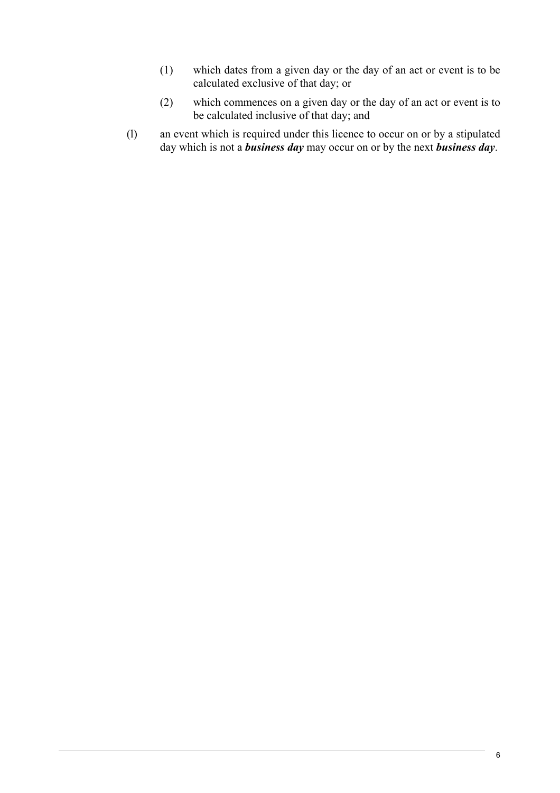- (1) which dates from a given day or the day of an act or event is to be calculated exclusive of that day; or
- (2) which commences on a given day or the day of an act or event is to be calculated inclusive of that day; and
- (l) an event which is required under this licence to occur on or by a stipulated day which is not a *business day* may occur on or by the next *business day*.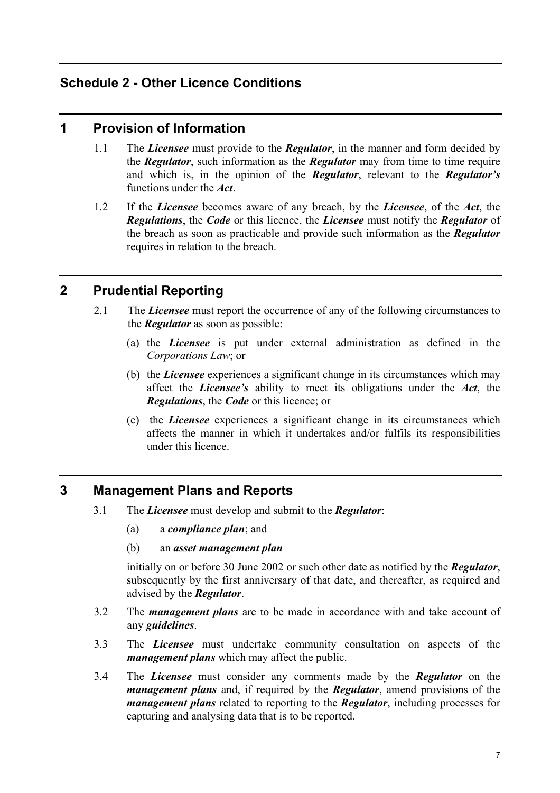## **Schedule 2 - Other Licence Conditions**

## **1 Provision of Information**

- 1.1 The *Licensee* must provide to the *Regulator*, in the manner and form decided by the *Regulator*, such information as the *Regulator* may from time to time require and which is, in the opinion of the *Regulator*, relevant to the *Regulator's*  functions under the *Act*.
- 1.2 If the *Licensee* becomes aware of any breach, by the *Licensee*, of the *Act*, the *Regulations*, the *Code* or this licence, the *Licensee* must notify the *Regulator* of the breach as soon as practicable and provide such information as the *Regulator*  requires in relation to the breach.

## **2 Prudential Reporting**

- 2.1 The *Licensee* must report the occurrence of any of the following circumstances to the *Regulator* as soon as possible:
	- (a) the *Licensee* is put under external administration as defined in the *Corporations Law*; or
	- (b) the *Licensee* experiences a significant change in its circumstances which may affect the *Licensee's* ability to meet its obligations under the *Act*, the *Regulations*, the *Code* or this licence; or
	- (c) the *Licensee* experiences a significant change in its circumstances which affects the manner in which it undertakes and/or fulfils its responsibilities under this licence.

## **3 Management Plans and Reports**

- 3.1 The *Licensee* must develop and submit to the *Regulator*:
	- (a) a *compliance plan*; and
	- (b) an *asset management plan*

initially on or before 30 June 2002 or such other date as notified by the *Regulator*, subsequently by the first anniversary of that date, and thereafter, as required and advised by the *Regulator*.

- 3.2 The *management plans* are to be made in accordance with and take account of any *guidelines*.
- 3.3 The *Licensee* must undertake community consultation on aspects of the *management plans* which may affect the public.
- 3.4 The *Licensee* must consider any comments made by the *Regulator* on the *management plans* and, if required by the *Regulator*, amend provisions of the *management plans* related to reporting to the *Regulator*, including processes for capturing and analysing data that is to be reported.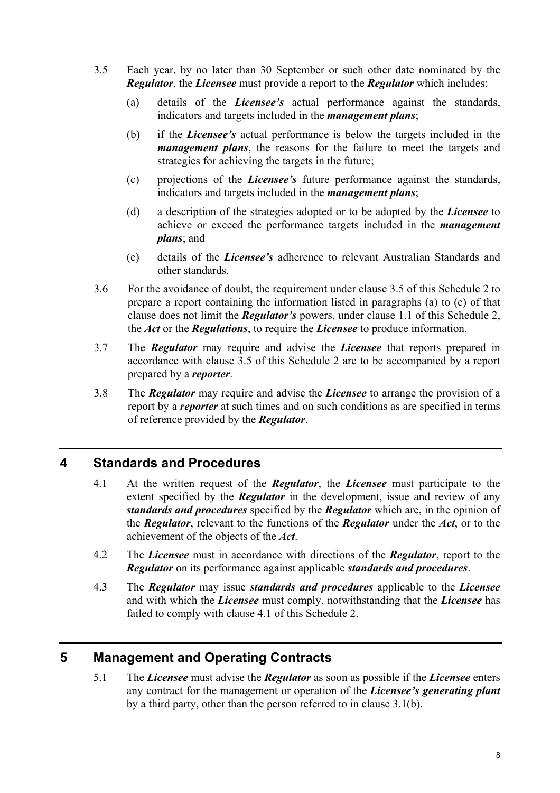- 3.5 Each year, by no later than 30 September or such other date nominated by the *Regulator*, the *Licensee* must provide a report to the *Regulator* which includes:
	- (a) details of the *Licensee's* actual performance against the standards, indicators and targets included in the *management plans*;
	- (b) if the *Licensee's* actual performance is below the targets included in the *management plans*, the reasons for the failure to meet the targets and strategies for achieving the targets in the future;
	- (c) projections of the *Licensee's* future performance against the standards, indicators and targets included in the *management plans*;
	- (d) a description of the strategies adopted or to be adopted by the *Licensee* to achieve or exceed the performance targets included in the *management plans*; and
	- (e) details of the *Licensee's* adherence to relevant Australian Standards and other standards.
- 3.6 For the avoidance of doubt, the requirement under clause 3.5 of this Schedule 2 to prepare a report containing the information listed in paragraphs (a) to (e) of that clause does not limit the *Regulator's* powers, under clause 1.1 of this Schedule 2, the *Act* or the *Regulations*, to require the *Licensee* to produce information.
- 3.7 The *Regulator* may require and advise the *Licensee* that reports prepared in accordance with clause 3.5 of this Schedule 2 are to be accompanied by a report prepared by a *reporter*.
- 3.8 The *Regulator* may require and advise the *Licensee* to arrange the provision of a report by a *reporter* at such times and on such conditions as are specified in terms of reference provided by the *Regulator*.

## **4 Standards and Procedures**

- 4.1 At the written request of the *Regulator*, the *Licensee* must participate to the extent specified by the *Regulator* in the development, issue and review of any *standards and procedures* specified by the *Regulator* which are, in the opinion of the *Regulator*, relevant to the functions of the *Regulator* under the *Act*, or to the achievement of the objects of the *Act*.
- 4.2 The *Licensee* must in accordance with directions of the *Regulator*, report to the *Regulator* on its performance against applicable *standards and procedures*.
- 4.3 The *Regulator* may issue *standards and procedures* applicable to the *Licensee* and with which the *Licensee* must comply, notwithstanding that the *Licensee* has failed to comply with clause 4.1 of this Schedule 2.

## **5 Management and Operating Contracts**

5.1 The *Licensee* must advise the *Regulator* as soon as possible if the *Licensee* enters any contract for the management or operation of the *Licensee's generating plant* by a third party, other than the person referred to in clause 3.1(b).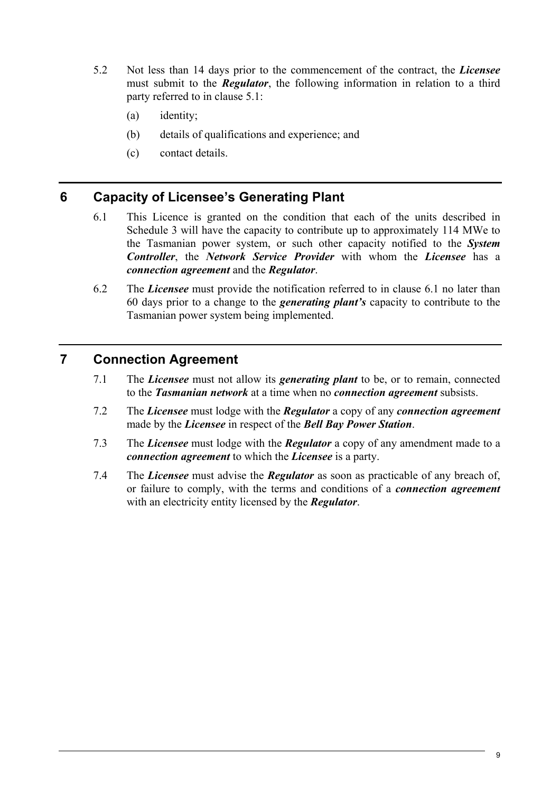- 5.2 Not less than 14 days prior to the commencement of the contract, the *Licensee*  must submit to the *Regulator*, the following information in relation to a third party referred to in clause 5.1:
	- (a) identity;
	- (b) details of qualifications and experience; and
	- (c) contact details.

## **6 Capacity of Licensee's Generating Plant**

- 6.1 This Licence is granted on the condition that each of the units described in Schedule 3 will have the capacity to contribute up to approximately 114 MWe to the Tasmanian power system, or such other capacity notified to the *System Controller*, the *Network Service Provider* with whom the *Licensee* has a *connection agreement* and the *Regulator*.
- 6.2 The *Licensee* must provide the notification referred to in clause 6.1 no later than 60 days prior to a change to the *generating plant's* capacity to contribute to the Tasmanian power system being implemented.

## **7 Connection Agreement**

- 7.1 The *Licensee* must not allow its *generating plant* to be, or to remain, connected to the *Tasmanian network* at a time when no *connection agreement* subsists.
- 7.2 The *Licensee* must lodge with the *Regulator* a copy of any *connection agreement*  made by the *Licensee* in respect of the *Bell Bay Power Station*.
- 7.3 The *Licensee* must lodge with the *Regulator* a copy of any amendment made to a *connection agreement* to which the *Licensee* is a party.
- 7.4 The *Licensee* must advise the *Regulator* as soon as practicable of any breach of, or failure to comply, with the terms and conditions of a *connection agreement* with an electricity entity licensed by the *Regulator*.